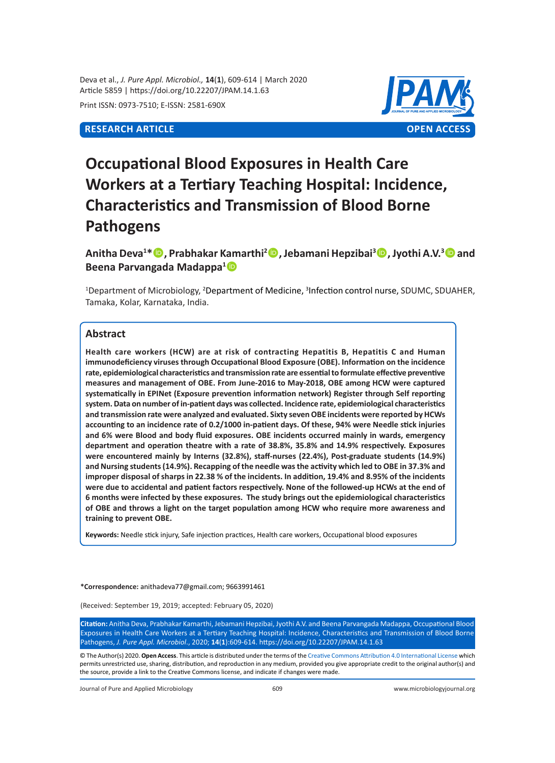Deva et al., *J. Pure Appl. Microbiol.,* **14**(**1**), 609-614 | March 2020 Article 5859 | https://doi.org/10.22207/JPAM.14.1.63

Print ISSN: 0973-7510; E-ISSN: 2581-690X

# **RESEARCH ARTICLE OPEN ACCESS**



# **Occupational Blood Exposures in Health Care Workers at a Tertiary Teaching Hospital: Incidence, Characteristics and Transmission of Blood Borne Pathogens**

**Anitha Deva<sup>1</sup> \*, Prabhakar Kamarthi<sup>2</sup> , Jebamani Hepzibai<sup>3</sup> , Jyothi A.V.<sup>3</sup> and Beena Parvangada Madappa<sup>1</sup>**

<sup>1</sup>Department of Microbiology, <sup>2</sup>Department of Medicine, <sup>3</sup>Infection control nurse, SDUMC, SDUAHER, Tamaka, Kolar, Karnataka, India.

# **Abstract**

**Health care workers (HCW) are at risk of contracting Hepatitis B, Hepatitis C and Human immunodeficiency viruses through Occupational Blood Exposure (OBE). Information on the incidence rate, epidemiological characteristics and transmission rate are essential to formulate effective preventive measures and management of OBE. From June-2016 to May-2018, OBE among HCW were captured systematically in EPINet (Exposure prevention information network) Register through Self reporting system. Data on number of in-patient days was collected. Incidence rate, epidemiological characteristics and transmission rate were analyzed and evaluated. Sixty seven OBE incidents were reported by HCWs accounting to an incidence rate of 0.2/1000 in-patient days. Of these, 94% were Needle stick injuries and 6% were Blood and body fluid exposures. OBE incidents occurred mainly in wards, emergency department and operation theatre with a rate of 38.8%, 35.8% and 14.9% respectively. Exposures were encountered mainly by Interns (32.8%), staff-nurses (22.4%), Post-graduate students (14.9%) and Nursing students (14.9%). Recapping of the needle was the activity which led to OBE in 37.3% and improper disposal of sharps in 22.38 % of the incidents. In addition, 19.4% and 8.95% of the incidents were due to accidental and patient factors respectively. None of the followed-up HCWs at the end of 6 months were infected by these exposures. The study brings out the epidemiological characteristics of OBE and throws a light on the target population among HCW who require more awareness and training to prevent OBE.**

**Keywords:** Needle stick injury, Safe injection practices, Health care workers, Occupational blood exposures

**\*Correspondence:** [anithadeva77@gmail.com;](mailto:anithadeva77@gmail.com) 9663991461

(Received: September 19, 2019; accepted: February 05, 2020)

**Citation:** Anitha Deva, Prabhakar Kamarthi, Jebamani Hepzibai, Jyothi A.V. and Beena Parvangada Madappa, Occupational Blood Exposures in Health Care Workers at a Tertiary Teaching Hospital: Incidence, Characteristics and Transmission of Blood Borne Pathogens, *J. Pure Appl. Microbiol*., 2020; **14**(**1**):609-614. https://doi.org/10.22207/JPAM.14.1.63

© The Author(s) 2020. **Open Access**. This article is distributed under the terms of the [Creative Commons Attribution 4.0 International License](https://creativecommons.org/licenses/by/4.0/) which permits unrestricted use, sharing, distribution, and reproduction in any medium, provided you give appropriate credit to the original author(s) and the source, provide a link to the Creative Commons license, and indicate if changes were made.

Journal of Pure and Applied Microbiology 609 www.microbiologyjournal.org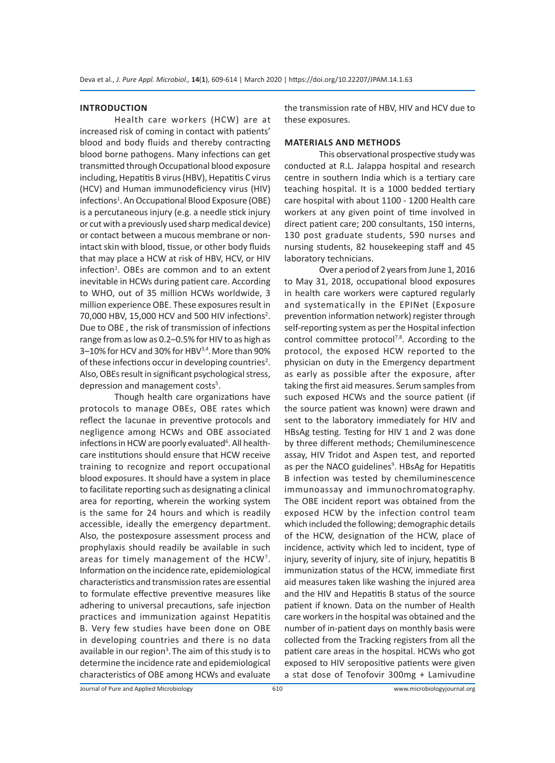### **INTRODUCTION**

Health care workers (HCW) are at increased risk of coming in contact with patients' blood and body fluids and thereby contracting blood borne pathogens. Many infections can get transmitted through Occupational blood exposure including, Hepatitis B virus (HBV), Hepatitis C virus (HCV) and Human immunodeficiency virus (HIV) infections<sup>1</sup>. An Occupational Blood Exposure (OBE) is a percutaneous injury (e.g. a needle stick injury or cut with a previously used sharp medical device) or contact between a mucous membrane or nonintact skin with blood, tissue, or other body fluids that may place a HCW at risk of HBV, HCV, or HIV infection<sup>1</sup>. OBEs are common and to an extent inevitable in HCWs during patient care. According to WHO, out of 35 million HCWs worldwide, 3 million experience OBE. These exposures result in 70,000 HBV, 15,000 HCV and 500 HIV infections<sup>2</sup>. Due to OBE , the risk of transmission of infections range from as low as 0.2–0.5% for HIV to as high as 3-10% for HCV and 30% for HBV<sup>3,4</sup>. More than 90% of these infections occur in developing countries<sup>2</sup>. Also, OBEs result in significant psychological stress, depression and management costs<sup>5</sup>.

Though health care organizations have protocols to manage OBEs, OBE rates which reflect the lacunae in preventive protocols and negligence among HCWs and OBE associated infections in HCW are poorly evaluated<sup>6</sup>. All healthcare institutions should ensure that HCW receive training to recognize and report occupational blood exposures. It should have a system in place to facilitate reporting such as designating a clinical area for reporting, wherein the working system is the same for 24 hours and which is readily accessible, ideally the emergency department. Also, the postexposure assessment process and prophylaxis should readily be available in such areas for timely management of the HCW<sup>7</sup>. Information on the incidence rate, epidemiological characteristics and transmission rates are essential to formulate effective preventive measures like adhering to universal precautions, safe injection practices and immunization against Hepatitis B. Very few studies have been done on OBE in developing countries and there is no data available in our region<sup>3</sup>. The aim of this study is to determine the incidence rate and epidemiological characteristics of OBE among HCWs and evaluate

the transmission rate of HBV, HIV and HCV due to these exposures.

#### **MATERIALS AND METHODS**

This observational prospective study was conducted at R.L. Jalappa hospital and research centre in southern India which is a tertiary care teaching hospital*.* It is a 1000 bedded tertiary care hospital with about 1100 - 1200 Health care workers at any given point of time involved in direct patient care; 200 consultants, 150 interns, 130 post graduate students, 590 nurses and nursing students, 82 housekeeping staff and 45 laboratory technicians.

Over a period of 2 years from June 1, 2016 to May 31, 2018, occupational blood exposures in health care workers were captured regularly and systematically in the EPINet (Exposure prevention information network) register through self-reporting system as per the Hospital infection control committee protocol<sup>7,8</sup>. According to the protocol, the exposed HCW reported to the physician on duty in the Emergency department as early as possible after the exposure, after taking the first aid measures. Serum samples from such exposed HCWs and the source patient (if the source patient was known) were drawn and sent to the laboratory immediately for HIV and HBsAg testing. Testing for HIV 1 and 2 was done by three different methods; Chemiluminescence assay, HIV Tridot and Aspen test, and reported as per the NACO guidelines<sup>9</sup>. HBsAg for Hepatitis B infection was tested by chemiluminescence immunoassay and immunochromatography. The OBE incident report was obtained from the exposed HCW by the infection control team which included the following; demographic details of the HCW, designation of the HCW, place of incidence, activity which led to incident, type of injury, severity of injury, site of injury, hepatitis B immunization status of the HCW, immediate first aid measures taken like washing the injured area and the HIV and Hepatitis B status of the source patient if known. Data on the number of Health care workers in the hospital was obtained and the number of in-patient days on monthly basis were collected from the Tracking registers from all the patient care areas in the hospital. HCWs who got exposed to HIV seropositive patients were given a stat dose of Tenofovir 300mg + Lamivudine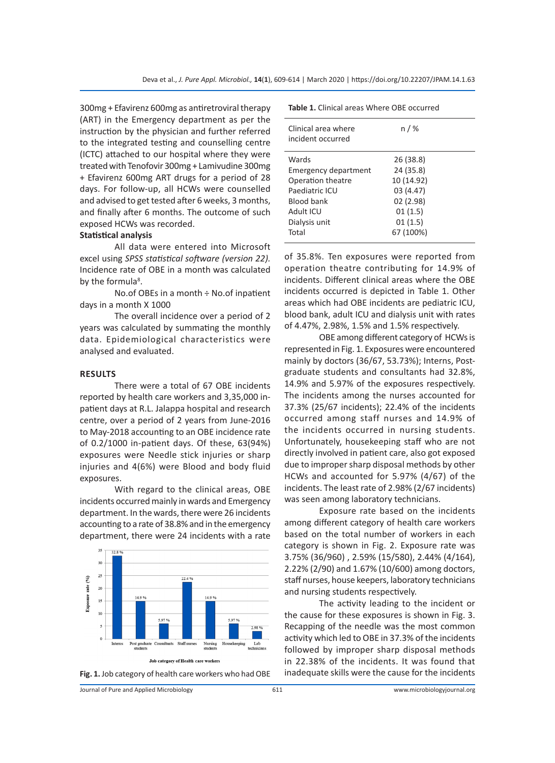300mg + Efavirenz 600mg as antiretroviral therapy (ART) in the Emergency department as per the instruction by the physician and further referred to the integrated testing and counselling centre (ICTC) attached to our hospital where they were treated with Tenofovir 300mg + Lamivudine 300mg + Efavirenz 600mg ART drugs for a period of 28 days. For follow-up, all HCWs were counselled and advised to get tested after 6 weeks, 3 months, and finally after 6 months. The outcome of such exposed HCWs was recorded.

### **Statistical analysis**

All data were entered into Microsoft excel using *SPSS statistical software (version 22).*  Incidence rate of OBE in a month was calculated by the formula<sup>8</sup>.

No.of OBEs in a month ÷ No.of inpatient days in a month X 1000

The overall incidence over a period of 2 years was calculated by summating the monthly data. Epidemiological characteristics were analysed and evaluated.

#### **RESULTS**

There were a total of 67 OBE incidents reported by health care workers and 3,35,000 inpatient days at R.L. Jalappa hospital and research centre, over a period of 2 years from June-2016 to May-2018 accounting to an OBE incidence rate of 0.2/1000 in-patient days. Of these, 63(94%) exposures were Needle stick injuries or sharp injuries and 4(6%) were Blood and body fluid exposures.

With regard to the clinical areas, OBE incidents occurred mainly in wards and Emergency department. In the wards, there were 26 incidents accounting to a rate of 38.8% and in the emergency department, there were 24 incidents with a rate



| Table 1. Clinical areas Where OBE occurred |  |  |
|--------------------------------------------|--|--|
|                                            |  |  |

| Clinical area where<br>incident occurred | n / %      |
|------------------------------------------|------------|
| Wards                                    | 26 (38.8)  |
| Emergency department                     | 24 (35.8)  |
| Operation theatre                        | 10 (14.92) |
| Paediatric ICU                           | 03 (4.47)  |
| <b>Blood bank</b>                        | 02(2.98)   |
| Adult ICU                                | 01(1.5)    |
| Dialysis unit                            | 01(1.5)    |
| Total                                    | 67 (100%)  |

of 35.8%. Ten exposures were reported from operation theatre contributing for 14.9% of incidents. Different clinical areas where the OBE incidents occurred is depicted in Table 1. Other areas which had OBE incidents are pediatric ICU, blood bank, adult ICU and dialysis unit with rates of 4.47%, 2.98%, 1.5% and 1.5% respectively.

OBE among different category of HCWs is represented in Fig. 1. Exposures were encountered mainly by doctors (36/67, 53.73%); Interns, Postgraduate students and consultants had 32.8%, 14.9% and 5.97% of the exposures respectively. The incidents among the nurses accounted for 37.3% (25/67 incidents); 22.4% of the incidents occurred among staff nurses and 14.9% of the incidents occurred in nursing students. Unfortunately, housekeeping staff who are not directly involved in patient care, also got exposed due to improper sharp disposal methods by other HCWs and accounted for 5.97% (4/67) of the incidents. The least rate of 2.98% (2/67 incidents) was seen among laboratory technicians.

Exposure rate based on the incidents among different category of health care workers based on the total number of workers in each category is shown in Fig. 2. Exposure rate was 3.75% (36/960) , 2.59% (15/580), 2.44% (4/164), 2.22% (2/90) and 1.67% (10/600) among doctors, staff nurses, house keepers, laboratory technicians and nursing students respectively.

The activity leading to the incident or the cause for these exposures is shown in Fig. 3. Recapping of the needle was the most common activity which led to OBE in 37.3% of the incidents followed by improper sharp disposal methods in 22.38% of the incidents. It was found that Fig. 1. Job category of health care workers who had OBE inadequate skills were the cause for the incidents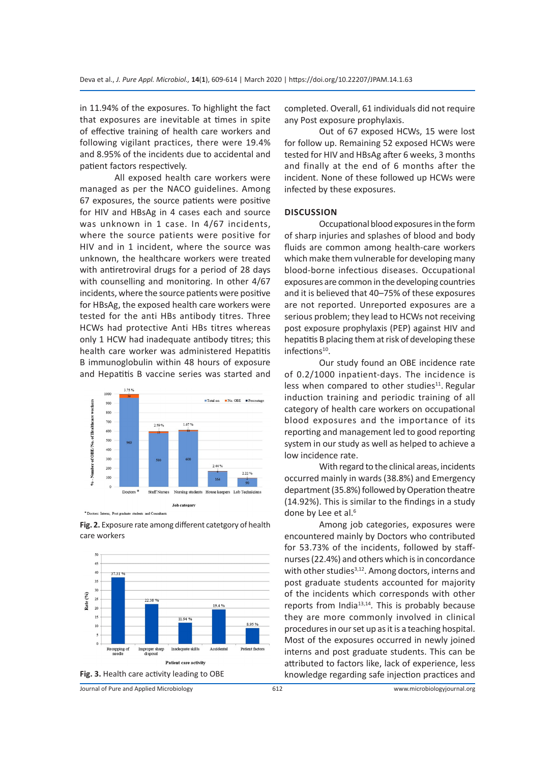in 11.94% of the exposures. To highlight the fact that exposures are inevitable at times in spite of effective training of health care workers and following vigilant practices, there were 19.4% and 8.95% of the incidents due to accidental and patient factors respectively.

All exposed health care workers were managed as per the NACO guidelines. Among 67 exposures, the source patients were positive for HIV and HBsAg in 4 cases each and source was unknown in 1 case. In 4/67 incidents, where the source patients were positive for HIV and in 1 incident, where the source was unknown, the healthcare workers were treated with antiretroviral drugs for a period of 28 days with counselling and monitoring. In other 4/67 incidents, where the source patients were positive for HBsAg, the exposed health care workers were tested for the anti HBs antibody titres. Three HCWs had protective Anti HBs titres whereas only 1 HCW had inadequate antibody titres; this health care worker was administered Hepatitis B immunoglobulin within 48 hours of exposure and Hepatitis B vaccine series was started and



\* Doctors: Interns, Post graduate students and Co

**Fig. 2.** Exposure rate among different catetgory of health care workers



Journal of Pure and Applied Microbiology

completed. Overall, 61 individuals did not require any Post exposure prophylaxis.

Out of 67 exposed HCWs, 15 were lost for follow up. Remaining 52 exposed HCWs were tested for HIV and HBsAg after 6 weeks, 3 months and finally at the end of 6 months after the incident. None of these followed up HCWs were infected by these exposures.

# **DISCUSSION**

Occupational blood exposures in the form of sharp injuries and splashes of blood and body fluids are common among health-care workers which make them vulnerable for developing many blood-borne infectious diseases. Occupational exposures are common in the developing countries and it is believed that 40–75% of these exposures are not reported. Unreported exposures are a serious problem; they lead to HCWs not receiving post exposure prophylaxis (PEP) against HIV and hepatitis B placing them at risk of developing these infections<sup>10</sup>.

Our study found an OBE incidence rate of 0.2/1000 inpatient-days. The incidence is less when compared to other studies $11$ . Regular induction training and periodic training of all category of health care workers on occupational blood exposures and the importance of its reporting and management led to good reporting system in our study as well as helped to achieve a low incidence rate.

With regard to the clinical areas, incidents occurred mainly in wards (38.8%) and Emergency department (35.8%) followed by Operation theatre (14.92%). This is similar to the findings in a study done by Lee et al.<sup>6</sup>

Among job categories, exposures were encountered mainly by Doctors who contributed for 53.73% of the incidents, followed by staffnurses (22.4%) and others which is in concordance with other studies $3,12$ . Among doctors, interns and post graduate students accounted for majority of the incidents which corresponds with other reports from India<sup>13,14</sup>. This is probably because they are more commonly involved in clinical procedures in our set up as it is a teaching hospital. Most of the exposures occurred in newly joined interns and post graduate students. This can be attributed to factors like, lack of experience, less knowledge regarding safe injection practices and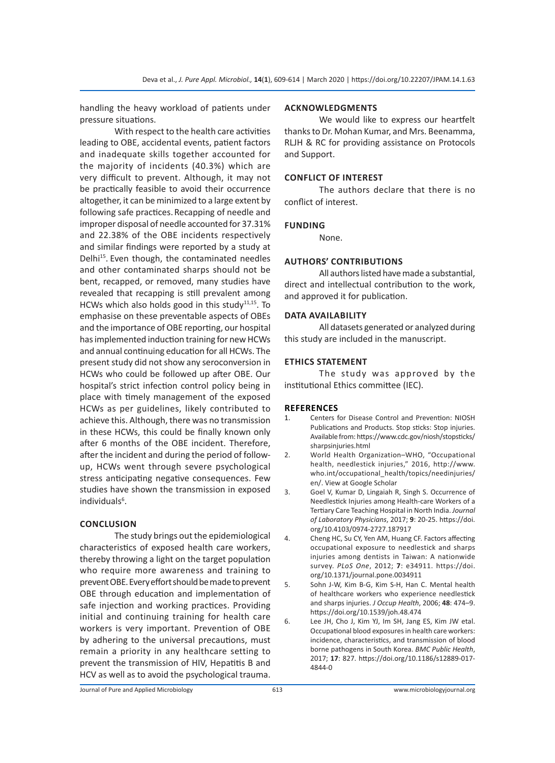handling the heavy workload of patients under pressure situations.

With respect to the health care activities leading to OBE, accidental events, patient factors and inadequate skills together accounted for the majority of incidents (40.3%) which are very difficult to prevent. Although, it may not be practically feasible to avoid their occurrence altogether, it can be minimized to a large extent by following safe practices. Recapping of needle and improper disposal of needle accounted for 37.31% and 22.38% of the OBE incidents respectively and similar findings were reported by a study at Delhi<sup>15</sup>. Even though, the contaminated needles and other contaminated sharps should not be bent, recapped, or removed, many studies have revealed that recapping is still prevalent among HCWs which also holds good in this study $11,15$ . To emphasise on these preventable aspects of OBEs and the importance of OBE reporting, our hospital has implemented induction training for new HCWs and annual continuing education for all HCWs. The present study did not show any seroconversion in HCWs who could be followed up after OBE. Our hospital's strict infection control policy being in place with timely management of the exposed HCWs as per guidelines, likely contributed to achieve this. Although, there was no transmission in these HCWs, this could be finally known only after 6 months of the OBE incident. Therefore, after the incident and during the period of followup, HCWs went through severe psychological stress anticipating negative consequences. Few studies have shown the transmission in exposed individuals<sup>6</sup>.

# **CONCLUSION**

The study brings out the epidemiological characteristics of exposed health care workers, thereby throwing a light on the target population who require more awareness and training to prevent OBE. Every effort should be made to prevent OBE through education and implementation of safe injection and working practices. Providing initial and continuing training for health care workers is very important. Prevention of OBE by adhering to the universal precautions, must remain a priority in any healthcare setting to prevent the transmission of HIV, Hepatitis B and HCV as well as to avoid the psychological trauma.

# **ACKNOWLEDGMENTS**

We would like to express our heartfelt thanks to Dr. Mohan Kumar, and Mrs. Beenamma, RLJH & RC for providing assistance on Protocols and Support.

# **CONFLICT OF INTEREST**

The authors declare that there is no conflict of interest.

# **FUNDING**

None.

# **AUTHORS' CONTRIBUTIONS**

All authors listed have made a substantial, direct and intellectual contribution to the work, and approved it for publication.

# **DATA AVAILABILITY**

All datasets generated or analyzed during this study are included in the manuscript.

# **ETHICS STATEMENT**

The study was approved by the institutional Ethics committee (IEC).

# **REFERENCES**

- 1. Centers for Disease Control and Prevention: NIOSH Publications and Products. Stop sticks: Stop injuries. Available from: https://www.cdc.gov/niosh/stopsticks/ sharpsinjuries.html
- 2. World Health Organization–WHO, "Occupational health, needlestick injuries," 2016, [http://www.](http://www.who.int/occupational_health/topics/needinjuries/en/) [who.int/occupational\\_health/topics/needinjuries/](http://www.who.int/occupational_health/topics/needinjuries/en/) [en/](http://www.who.int/occupational_health/topics/needinjuries/en/). [View at Google Scholar](http://scholar.google.com/scholar_lookup?title=Occupational+health%2c+needlestick+injuries&author=World+Health+Organization%e2%80%93WHO&publication_year=2016)
- 3. Goel V, Kumar D, Lingaiah R, Singh S. Occurrence of Needlestick Injuries among Health-care Workers of a Tertiary Care Teaching Hospital in North India. *Journal of Laboratory Physicians*, 2017; **9**: 20-25. https://doi. org/10.4103/0974-2727.187917
- 4. Cheng HC, Su CY, Yen AM, Huang CF. Factors affecting occupational exposure to needlestick and sharps injuries among dentists in Taiwan: A nationwide survey. *PLoS One*, 2012; **7**: e34911. https://doi. org/10.1371/journal.pone.0034911
- 5. Sohn J-W, Kim B-G, Kim S-H, Han C. Mental health of healthcare workers who experience needlestick and sharps injuries. *J Occup Health*, 2006; **48**: 474–9. https://doi.org/10.1539/joh.48.474
- 6. Lee JH, Cho J, Kim YJ, Im SH, Jang ES, Kim JW etal. Occupational blood exposures in health care workers: incidence, characteristics, and transmission of blood borne pathogens in South Korea. *BMC Public Health*, 2017; **17**: 827. https://doi.org/10.1186/s12889-017- 4844-0